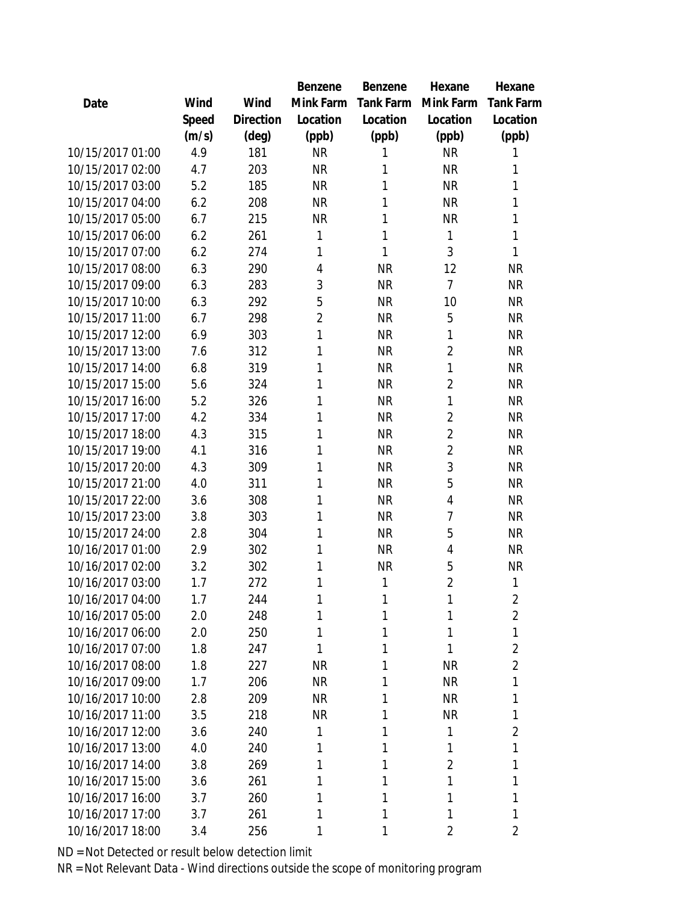|                  |       |           | Benzene        | Benzene          | Hexane         | Hexane           |
|------------------|-------|-----------|----------------|------------------|----------------|------------------|
| Date             | Wind  | Wind      | Mink Farm      | <b>Tank Farm</b> | Mink Farm      | <b>Tank Farm</b> |
|                  | Speed | Direction | Location       | Location         | Location       | Location         |
|                  | (m/s) | (deg)     | (ppb)          | (ppb)            | (ppb)          | (ppb)            |
| 10/15/2017 01:00 | 4.9   | 181       | <b>NR</b>      | 1                | <b>NR</b>      | 1                |
| 10/15/2017 02:00 | 4.7   | 203       | <b>NR</b>      | 1                | <b>NR</b>      | 1                |
| 10/15/2017 03:00 | 5.2   | 185       | <b>NR</b>      | 1                | <b>NR</b>      | 1                |
| 10/15/2017 04:00 | 6.2   | 208       | <b>NR</b>      | 1                | <b>NR</b>      | 1                |
| 10/15/2017 05:00 | 6.7   | 215       | <b>NR</b>      | 1                | <b>NR</b>      | 1                |
| 10/15/2017 06:00 | 6.2   | 261       | 1              | 1                | 1              | 1                |
| 10/15/2017 07:00 | 6.2   | 274       | 1              | 1                | 3              | 1                |
| 10/15/2017 08:00 | 6.3   | 290       | $\overline{4}$ | <b>NR</b>        | 12             | <b>NR</b>        |
| 10/15/2017 09:00 | 6.3   | 283       | 3              | <b>NR</b>        | 7              | <b>NR</b>        |
| 10/15/2017 10:00 | 6.3   | 292       | 5              | <b>NR</b>        | 10             | <b>NR</b>        |
| 10/15/2017 11:00 | 6.7   | 298       | $\overline{2}$ | <b>NR</b>        | 5              | <b>NR</b>        |
| 10/15/2017 12:00 | 6.9   | 303       | 1              | <b>NR</b>        | 1              | <b>NR</b>        |
| 10/15/2017 13:00 | 7.6   | 312       | 1              | <b>NR</b>        | $\overline{2}$ | <b>NR</b>        |
| 10/15/2017 14:00 | 6.8   | 319       | 1              | <b>NR</b>        | 1              | <b>NR</b>        |
| 10/15/2017 15:00 | 5.6   | 324       | 1              | <b>NR</b>        | $\overline{2}$ | <b>NR</b>        |
| 10/15/2017 16:00 | 5.2   | 326       | 1              | <b>NR</b>        | 1              | <b>NR</b>        |
| 10/15/2017 17:00 | 4.2   | 334       | 1              | <b>NR</b>        | $\overline{2}$ | <b>NR</b>        |
| 10/15/2017 18:00 | 4.3   | 315       | 1              | <b>NR</b>        | $\overline{2}$ | <b>NR</b>        |
| 10/15/2017 19:00 | 4.1   | 316       | 1              | <b>NR</b>        | $\overline{2}$ | <b>NR</b>        |
| 10/15/2017 20:00 | 4.3   | 309       | 1              | <b>NR</b>        | 3              | <b>NR</b>        |
| 10/15/2017 21:00 | 4.0   | 311       | 1              | <b>NR</b>        | 5              | <b>NR</b>        |
| 10/15/2017 22:00 | 3.6   | 308       | 1              | <b>NR</b>        | 4              | <b>NR</b>        |
| 10/15/2017 23:00 | 3.8   | 303       | 1              | <b>NR</b>        | 7              | <b>NR</b>        |
| 10/15/2017 24:00 | 2.8   | 304       | 1              | <b>NR</b>        | 5              | <b>NR</b>        |
| 10/16/2017 01:00 | 2.9   | 302       | 1              | <b>NR</b>        | 4              | <b>NR</b>        |
| 10/16/2017 02:00 | 3.2   | 302       | 1              | <b>NR</b>        | 5              | <b>NR</b>        |
| 10/16/2017 03:00 | 1.7   | 272       | 1              | 1                | $\overline{2}$ | 1                |
| 10/16/2017 04:00 | 1.7   | 244       | 1              | 1                | 1              | $\overline{2}$   |
| 10/16/2017 05:00 | 2.0   | 248       | 1              | 1                | 1              | $\overline{2}$   |
| 10/16/2017 06:00 | 2.0   | 250       | 1              | 1                | 1              | 1                |
| 10/16/2017 07:00 | 1.8   | 247       | 1              | 1                | 1              | $\overline{2}$   |
| 10/16/2017 08:00 | 1.8   | 227       | <b>NR</b>      | 1                | <b>NR</b>      | $\overline{a}$   |
| 10/16/2017 09:00 | 1.7   | 206       | <b>NR</b>      | 1                | <b>NR</b>      | 1                |
| 10/16/2017 10:00 | 2.8   | 209       | <b>NR</b>      | 1                | <b>NR</b>      | 1                |
| 10/16/2017 11:00 | 3.5   | 218       | <b>NR</b>      | 1                | <b>NR</b>      | 1                |
| 10/16/2017 12:00 | 3.6   | 240       | 1              | 1                | 1              | $\overline{2}$   |
| 10/16/2017 13:00 | 4.0   | 240       | 1              | 1                | 1              | 1                |
| 10/16/2017 14:00 | 3.8   | 269       | 1              | 1                | $\overline{2}$ | 1                |
| 10/16/2017 15:00 | 3.6   | 261       | 1              | 1                | 1              | 1                |
| 10/16/2017 16:00 | 3.7   | 260       | 1              | 1                | 1              | 1                |
| 10/16/2017 17:00 | 3.7   | 261       | 1              | 1                | 1              | 1                |
| 10/16/2017 18:00 | 3.4   | 256       | 1              | 1                | 2              | $\overline{2}$   |
|                  |       |           |                |                  |                |                  |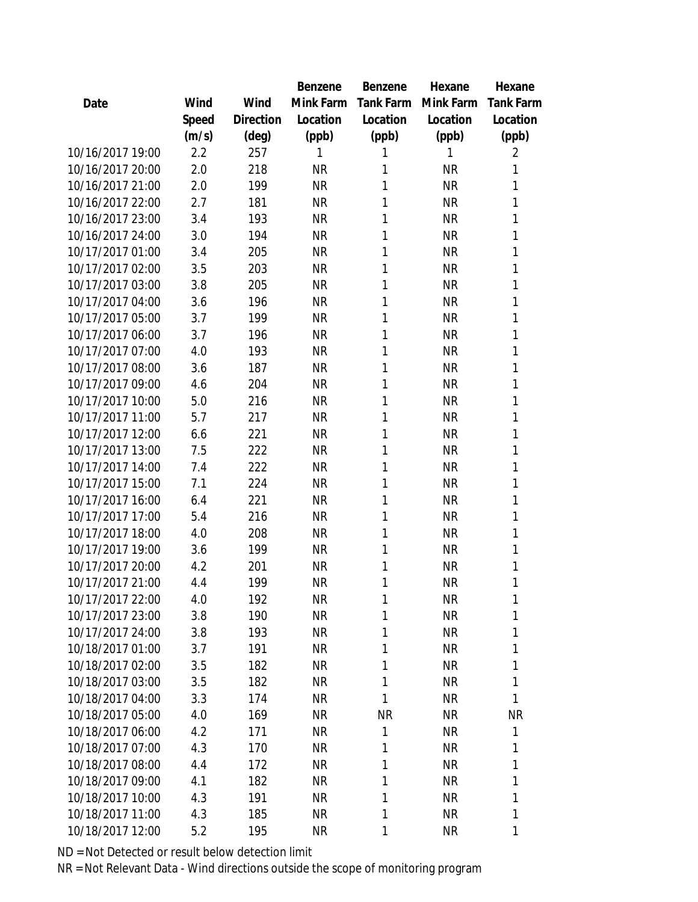|                  |       |                | Benzene   | Benzene          | Hexane    | Hexane           |
|------------------|-------|----------------|-----------|------------------|-----------|------------------|
| Date             | Wind  | Wind           | Mink Farm | <b>Tank Farm</b> | Mink Farm | <b>Tank Farm</b> |
|                  | Speed | Direction      | Location  | Location         | Location  | Location         |
|                  | (m/s) | $(\text{deg})$ | (ppb)     | (ppb)            | (ppb)     | (ppb)            |
| 10/16/2017 19:00 | 2.2   | 257            | 1         | 1                | 1         | 2                |
| 10/16/2017 20:00 | 2.0   | 218            | <b>NR</b> | 1                | <b>NR</b> | 1                |
| 10/16/2017 21:00 | 2.0   | 199            | <b>NR</b> | 1                | <b>NR</b> | 1                |
| 10/16/2017 22:00 | 2.7   | 181            | <b>NR</b> | 1                | <b>NR</b> | 1                |
| 10/16/2017 23:00 | 3.4   | 193            | <b>NR</b> | 1                | <b>NR</b> | 1                |
| 10/16/2017 24:00 | 3.0   | 194            | <b>NR</b> | 1                | <b>NR</b> | 1                |
| 10/17/2017 01:00 | 3.4   | 205            | <b>NR</b> | 1                | <b>NR</b> | 1                |
| 10/17/2017 02:00 | 3.5   | 203            | <b>NR</b> | 1                | <b>NR</b> | 1                |
| 10/17/2017 03:00 | 3.8   | 205            | <b>NR</b> | 1                | <b>NR</b> | 1                |
| 10/17/2017 04:00 | 3.6   | 196            | <b>NR</b> | 1                | <b>NR</b> | 1                |
| 10/17/2017 05:00 | 3.7   | 199            | <b>NR</b> | 1                | <b>NR</b> | 1                |
| 10/17/2017 06:00 | 3.7   | 196            | <b>NR</b> | 1                | <b>NR</b> | 1                |
| 10/17/2017 07:00 | 4.0   | 193            | <b>NR</b> | 1                | <b>NR</b> | 1                |
| 10/17/2017 08:00 | 3.6   | 187            | <b>NR</b> | 1                | <b>NR</b> | 1                |
| 10/17/2017 09:00 | 4.6   | 204            | <b>NR</b> | 1                | <b>NR</b> | 1                |
| 10/17/2017 10:00 | 5.0   | 216            | <b>NR</b> | 1                | <b>NR</b> | 1                |
| 10/17/2017 11:00 | 5.7   | 217            | <b>NR</b> | 1                | <b>NR</b> | 1                |
| 10/17/2017 12:00 | 6.6   | 221            | <b>NR</b> | 1                | <b>NR</b> | 1                |
| 10/17/2017 13:00 | 7.5   | 222            | <b>NR</b> | 1                | <b>NR</b> | 1                |
| 10/17/2017 14:00 | 7.4   | 222            | <b>NR</b> | 1                | <b>NR</b> | 1                |
| 10/17/2017 15:00 | 7.1   | 224            | <b>NR</b> | 1                | <b>NR</b> | 1                |
| 10/17/2017 16:00 | 6.4   | 221            | <b>NR</b> | 1                | <b>NR</b> | 1                |
| 10/17/2017 17:00 | 5.4   | 216            | <b>NR</b> | 1                | <b>NR</b> | 1                |
| 10/17/2017 18:00 | 4.0   | 208            | <b>NR</b> | 1                | <b>NR</b> | 1                |
| 10/17/2017 19:00 | 3.6   | 199            | <b>NR</b> | 1                | <b>NR</b> | 1                |
| 10/17/2017 20:00 | 4.2   | 201            | <b>NR</b> | 1                | <b>NR</b> | 1                |
| 10/17/2017 21:00 | 4.4   | 199            | <b>NR</b> | 1                | <b>NR</b> | 1                |
| 10/17/2017 22:00 | 4.0   | 192            | <b>NR</b> | 1                | <b>NR</b> | 1                |
| 10/17/2017 23:00 | 3.8   | 190            | <b>NR</b> | 1                | <b>NR</b> | 1                |
| 10/17/2017 24:00 | 3.8   | 193            | <b>NR</b> | 1                | <b>NR</b> | 1                |
| 10/18/2017 01:00 | 3.7   | 191            | <b>NR</b> | 1                | <b>NR</b> | 1                |
| 10/18/2017 02:00 | 3.5   | 182            | <b>NR</b> | 1                | <b>NR</b> | 1                |
| 10/18/2017 03:00 | 3.5   | 182            | <b>NR</b> | 1                | <b>NR</b> | 1                |
| 10/18/2017 04:00 | 3.3   | 174            | <b>NR</b> | 1                | <b>NR</b> | 1                |
| 10/18/2017 05:00 | 4.0   | 169            | NR        | <b>NR</b>        | <b>NR</b> | <b>NR</b>        |
| 10/18/2017 06:00 | 4.2   | 171            | <b>NR</b> | 1                | <b>NR</b> | 1                |
| 10/18/2017 07:00 | 4.3   | 170            | <b>NR</b> | 1                | <b>NR</b> | 1                |
| 10/18/2017 08:00 | 4.4   | 172            | <b>NR</b> | 1                | <b>NR</b> | 1                |
| 10/18/2017 09:00 | 4.1   | 182            | <b>NR</b> | 1                | <b>NR</b> | 1                |
| 10/18/2017 10:00 | 4.3   | 191            | NR.       | 1                | <b>NR</b> | 1                |
| 10/18/2017 11:00 | 4.3   | 185            | <b>NR</b> | 1                | <b>NR</b> | 1                |
| 10/18/2017 12:00 | 5.2   | 195            | <b>NR</b> | 1                | <b>NR</b> | 1                |
|                  |       |                |           |                  |           |                  |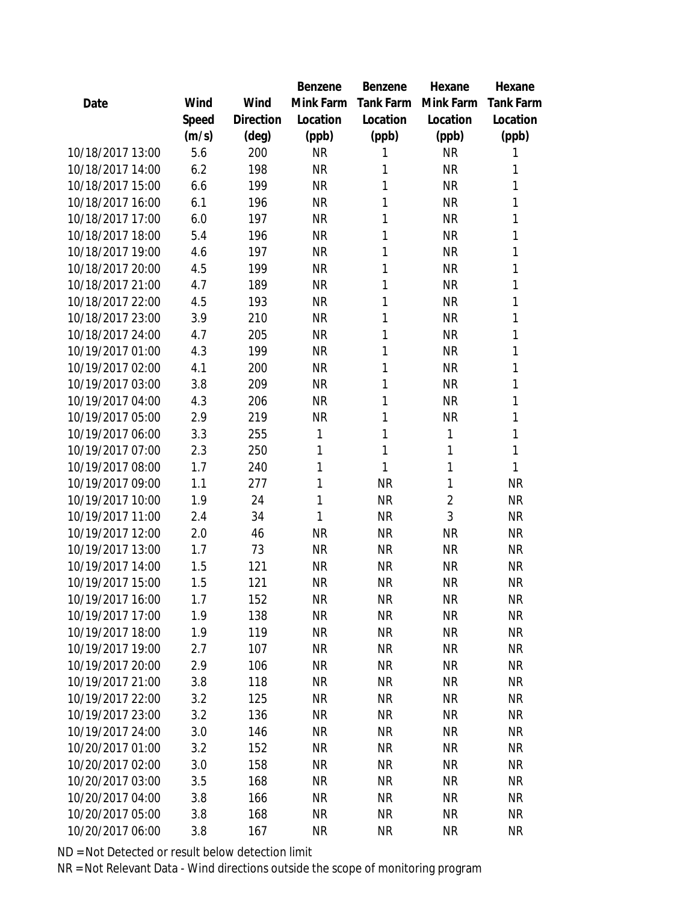|                  |       |           | Benzene   | <b>Benzene</b> | Hexane         | Hexane           |
|------------------|-------|-----------|-----------|----------------|----------------|------------------|
| Date             | Wind  | Wind      | Mink Farm | Tank Farm      | Mink Farm      | <b>Tank Farm</b> |
|                  | Speed | Direction | Location  | Location       | Location       | Location         |
|                  | (m/s) | (deg)     | (ppb)     | (ppb)          | (ppb)          | (ppb)            |
| 10/18/2017 13:00 | 5.6   | 200       | <b>NR</b> | 1              | <b>NR</b>      | 1                |
| 10/18/2017 14:00 | 6.2   | 198       | <b>NR</b> | 1              | <b>NR</b>      | 1                |
| 10/18/2017 15:00 | 6.6   | 199       | <b>NR</b> | 1              | <b>NR</b>      | 1                |
| 10/18/2017 16:00 | 6.1   | 196       | <b>NR</b> | 1              | <b>NR</b>      | 1                |
| 10/18/2017 17:00 | 6.0   | 197       | <b>NR</b> | 1              | <b>NR</b>      | 1                |
| 10/18/2017 18:00 | 5.4   | 196       | <b>NR</b> | 1              | <b>NR</b>      | 1                |
| 10/18/2017 19:00 | 4.6   | 197       | <b>NR</b> | 1              | <b>NR</b>      | 1                |
| 10/18/2017 20:00 | 4.5   | 199       | <b>NR</b> | 1              | <b>NR</b>      | 1                |
| 10/18/2017 21:00 | 4.7   | 189       | <b>NR</b> | 1              | <b>NR</b>      | 1                |
| 10/18/2017 22:00 | 4.5   | 193       | <b>NR</b> | 1              | <b>NR</b>      | 1                |
| 10/18/2017 23:00 | 3.9   | 210       | <b>NR</b> | 1              | <b>NR</b>      | 1                |
| 10/18/2017 24:00 | 4.7   | 205       | <b>NR</b> | 1              | <b>NR</b>      | 1                |
| 10/19/2017 01:00 | 4.3   | 199       | <b>NR</b> | 1              | <b>NR</b>      | 1                |
| 10/19/2017 02:00 | 4.1   | 200       | <b>NR</b> | 1              | <b>NR</b>      | 1                |
| 10/19/2017 03:00 | 3.8   | 209       | <b>NR</b> | 1              | <b>NR</b>      | 1                |
| 10/19/2017 04:00 | 4.3   | 206       | <b>NR</b> | 1              | <b>NR</b>      | 1                |
| 10/19/2017 05:00 | 2.9   | 219       | <b>NR</b> | 1              | <b>NR</b>      | 1                |
| 10/19/2017 06:00 | 3.3   | 255       | 1         | 1              | 1              | 1                |
| 10/19/2017 07:00 | 2.3   | 250       | 1         | 1              | 1              | 1                |
| 10/19/2017 08:00 | 1.7   | 240       | 1         | 1              | 1              | 1                |
| 10/19/2017 09:00 | 1.1   | 277       | 1         | <b>NR</b>      | 1              | <b>NR</b>        |
| 10/19/2017 10:00 | 1.9   | 24        | 1         | <b>NR</b>      | $\overline{2}$ | <b>NR</b>        |
| 10/19/2017 11:00 | 2.4   | 34        | 1         | <b>NR</b>      | 3              | <b>NR</b>        |
| 10/19/2017 12:00 | 2.0   | 46        | <b>NR</b> | <b>NR</b>      | <b>NR</b>      | <b>NR</b>        |
| 10/19/2017 13:00 | 1.7   | 73        | <b>NR</b> | <b>NR</b>      | <b>NR</b>      | <b>NR</b>        |
| 10/19/2017 14:00 | 1.5   | 121       | <b>NR</b> | <b>NR</b>      | <b>NR</b>      | <b>NR</b>        |
| 10/19/2017 15:00 | 1.5   | 121       | <b>NR</b> | <b>NR</b>      | <b>NR</b>      | <b>NR</b>        |
| 10/19/2017 16:00 | 1.7   | 152       | <b>NR</b> | <b>NR</b>      | <b>NR</b>      | <b>NR</b>        |
| 10/19/2017 17:00 | 1.9   | 138       | <b>NR</b> | <b>NR</b>      | <b>NR</b>      | <b>NR</b>        |
| 10/19/2017 18:00 | 1.9   | 119       | <b>NR</b> | <b>NR</b>      | <b>NR</b>      | <b>NR</b>        |
| 10/19/2017 19:00 | 2.7   | 107       | <b>NR</b> | <b>NR</b>      | <b>NR</b>      | <b>NR</b>        |
| 10/19/2017 20:00 | 2.9   | 106       | <b>NR</b> | <b>NR</b>      | <b>NR</b>      | <b>NR</b>        |
| 10/19/2017 21:00 | 3.8   | 118       | <b>NR</b> | NR             | <b>NR</b>      | <b>NR</b>        |
| 10/19/2017 22:00 | 3.2   | 125       | <b>NR</b> | <b>NR</b>      | <b>NR</b>      | <b>NR</b>        |
| 10/19/2017 23:00 | 3.2   | 136       | <b>NR</b> | <b>NR</b>      | <b>NR</b>      | <b>NR</b>        |
| 10/19/2017 24:00 | 3.0   | 146       | <b>NR</b> | <b>NR</b>      | <b>NR</b>      | <b>NR</b>        |
| 10/20/2017 01:00 | 3.2   | 152       | <b>NR</b> | <b>NR</b>      | <b>NR</b>      | <b>NR</b>        |
| 10/20/2017 02:00 | 3.0   | 158       | <b>NR</b> | <b>NR</b>      | <b>NR</b>      | <b>NR</b>        |
| 10/20/2017 03:00 | 3.5   | 168       | <b>NR</b> | <b>NR</b>      | <b>NR</b>      | <b>NR</b>        |
| 10/20/2017 04:00 | 3.8   | 166       | NR.       | <b>NR</b>      | <b>NR</b>      | <b>NR</b>        |
| 10/20/2017 05:00 | 3.8   | 168       | <b>NR</b> | <b>NR</b>      | <b>NR</b>      | <b>NR</b>        |
| 10/20/2017 06:00 | 3.8   | 167       | <b>NR</b> | <b>NR</b>      | <b>NR</b>      | <b>NR</b>        |
|                  |       |           |           |                |                |                  |